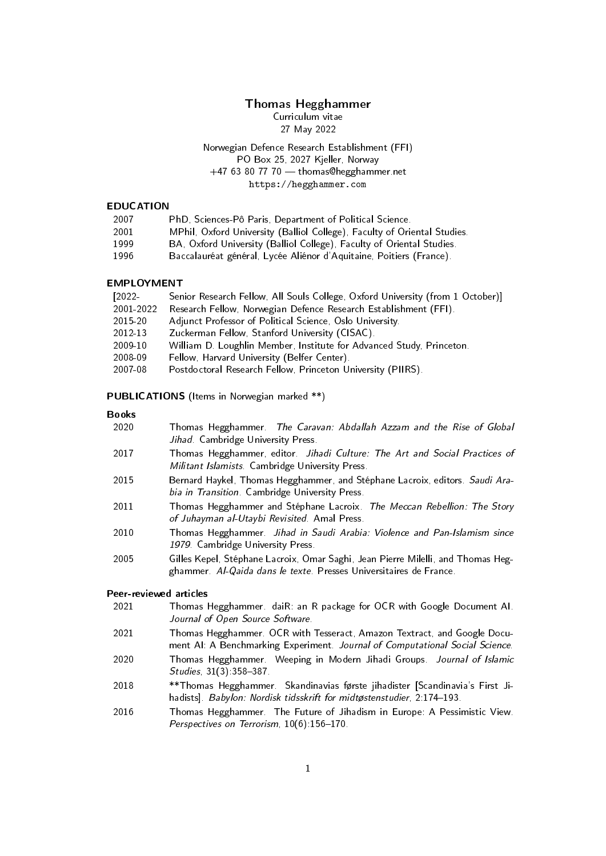## Thomas Hegghammer

Curriculum vitae 27 May 2022

## Norwegian Defence Research Establishment (FFI) PO Box 25, 2027 Kjeller, Norway  $+47$  63 80 77 70  $-$  thomas@hegghammer.net https://hegghammer.com

### EDUCATION

- 2007 PhD, Sciences-Pô Paris, Department of Political Science.
- 2001 MPhil, Oxford University (Balliol College), Faculty of Oriental Studies.
- 1999 BA, Oxford University (Balliol College), Faculty of Oriental Studies.
- 1996 Baccalauréat général, Lycée Aliénor d'Aquitaine, Poitiers (France).

### EMPLOYMENT

| $[2022 -$ | Senior Research Fellow, All Souls College, Oxford University (from 1 October)] |
|-----------|--------------------------------------------------------------------------------|
| 2001-2022 | Research Fellow, Norwegian Defence Research Establishment (FFI).               |
| 2015-20   | Adjunct Professor of Political Science, Oslo University                        |
| 2012-13   | Zuckerman Fellow, Stanford University (CISAC).                                 |
| 2009-10   | William D. Loughlin Member, Institute for Advanced Study, Princeton.           |
| 2008-09   | Fellow, Harvard University (Belfer Center).                                    |
| 2007-08   | Postdoctoral Research Fellow, Princeton University (PIIRS).                    |

### PUBLICATIONS (Items in Norwegian marked \*\*)

#### Books

- 2020 Thomas Hegghammer. The Caravan: Abdallah Azzam and the Rise of Global Jihad. Cambridge University Press.
- 2017 Thomas Hegghammer, editor. Jihadi Culture: The Art and Social Practices of Militant Islamists. Cambridge University Press.
- 2015 Bernard Haykel, Thomas Hegghammer, and Stéphane Lacroix, editors. Saudi Arabia in Transition. Cambridge University Press.
- 2011 Thomas Hegghammer and Stéphane Lacroix. The Meccan Rebellion: The Story of Juhayman al-Utaybi Revisited. Amal Press.
- 2010 Thomas Hegghammer. Jihad in Saudi Arabia: Violence and Pan-Islamism since 1979. Cambridge University Press.
- 2005 Gilles Kepel, Stéphane Lacroix, Omar Saghi, Jean Pierre Milelli, and Thomas Hegghammer. Al-Qaida dans le texte. Presses Universitaires de France.

### Peer-reviewed articles

- 2021 Thomas Hegghammer. daiR: an R package for OCR with Google Document AI. Journal of Open Source Software.
- 2021 Thomas Hegghammer. OCR with Tesseract, Amazon Textract, and Google Document AI: A Benchmarking Experiment. Journal of Computational Social Science.
- 2020 Thomas Hegghammer. Weeping in Modern Jihadi Groups. Journal of Islamic Studies, 31(3): 358-387.
- 2018 \*\*Thomas Hegghammer. Skandinavias første jihadister [Scandinavia's First Jihadists]. Babylon: Nordisk tidsskrift for midtøstenstudier, 2:174-193.
- 2016 Thomas Hegghammer. The Future of Jihadism in Europe: A Pessimistic View. Perspectives on Terrorism, 10(6):156-170.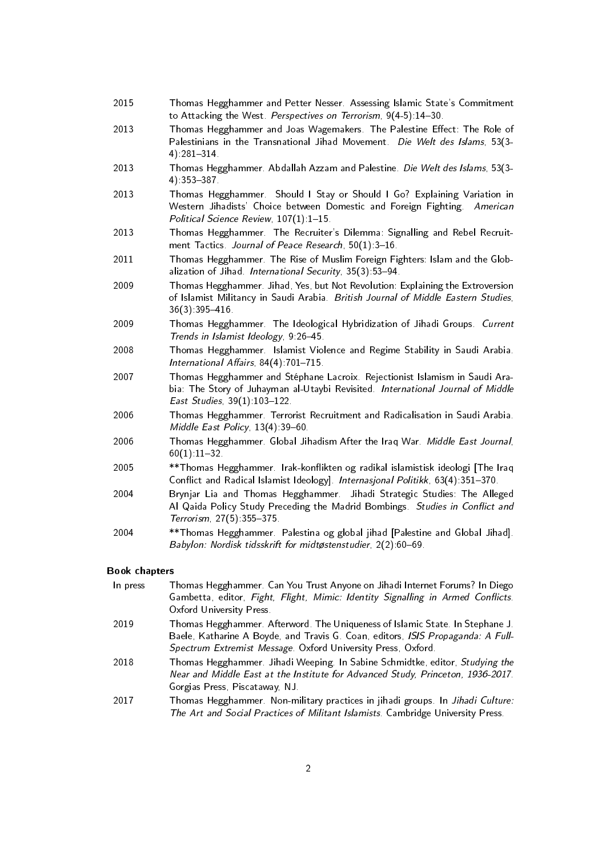- 2015 Thomas Hegghammer and Petter Nesser. Assessing Islamic State's Commitment to Attacking the West. Perspectives on Terrorism, 9(4-5):14-30.
- 2013 Thomas Hegghammer and Joas Wagemakers. The Palestine Effect: The Role of Palestinians in the Transnational Jihad Movement. Die Welt des Islams, 53(3-4):281-314
- 2013 Thomas Hegghammer. Abdallah Azzam and Palestine. Die Welt des Islams, 53(3- 4):353-387
- 2013 Thomas Hegghammer. Should I Stay or Should I Go? Explaining Variation in Western Jihadists' Choice between Domestic and Foreign Fighting. American Political Science Review, 107(1):1-15.
- 2013 Thomas Hegghammer. The Recruiter's Dilemma: Signalling and Rebel Recruitment Tactics. Journal of Peace Research, 50(1): 3-16.
- 2011 Thomas Hegghammer. The Rise of Muslim Foreign Fighters: Islam and the Globalization of Jihad. International Security, 35(3):53-94.
- 2009 Thomas Hegghammer. Jihad, Yes, but Not Revolution: Explaining the Extroversion of Islamist Militancy in Saudi Arabia. British Journal of Middle Eastern Studies, 36(3):395416.
- 2009 Thomas Hegghammer. The Ideological Hybridization of Jihadi Groups. Current Trends in Islamist Ideology, 9:26-45.
- 2008 Thomas Hegghammer. Islamist Violence and Regime Stability in Saudi Arabia. International Affairs,  $84(4)$ : 701-715.
- 2007 Thomas Hegghammer and Stéphane Lacroix. Rejectionist Islamism in Saudi Arabia: The Story of Juhayman al-Utaybi Revisited. International Journal of Middle East Studies, 39(1):103-122.
- 2006 Thomas Hegghammer. Terrorist Recruitment and Radicalisation in Saudi Arabia. Middle East Policy,  $13(4)$ : 39-60.
- 2006 Thomas Hegghammer. Global Jihadism After the Iraq War. Middle East Journal,  $60(1).11 - 32.$
- 2005 \*\* Thomas Hegghammer. Irak-konflikten og radikal islamistisk ideologi [The Iraq Conflict and Radical Islamist Ideology]. Internasjonal Politikk, 63(4):351-370.
- 2004 Brynjar Lia and Thomas Hegghammer. Jihadi Strategic Studies: The Alleged Al Qaida Policy Study Preceding the Madrid Bombings. Studies in Conflict and Terrorism, 27(5): 355-375.
- 2004 \*\*Thomas Hegghammer. Palestina og global jihad [Palestine and Global Jihad]. Babylon: Nordisk tidsskrift for midtøstenstudier, 2(2):60-69.

### Book chapters

- In press Thomas Hegghammer. Can You Trust Anyone on Jihadi Internet Forums? In Diego Gambetta, editor, Fight, Flight, Mimic: Identity Signalling in Armed Conflicts. Oxford University Press.
- 2019 Thomas Hegghammer. Afterword. The Uniqueness of Islamic State. In Stephane J. Baele, Katharine A Boyde, and Travis G. Coan, editors, ISIS Propaganda: A Full-Spectrum Extremist Message. Oxford University Press, Oxford.
- 2018 Thomas Hegghammer. Jihadi Weeping. In Sabine Schmidtke, editor, Studying the Near and Middle East at the Institute for Advanced Study, Princeton, 1936-2017. Gorgias Press, Piscataway, NJ.
- 2017 Thomas Hegghammer. Non-military practices in jihadi groups. In Jihadi Culture: The Art and Social Practices of Militant Islamists. Cambridge University Press.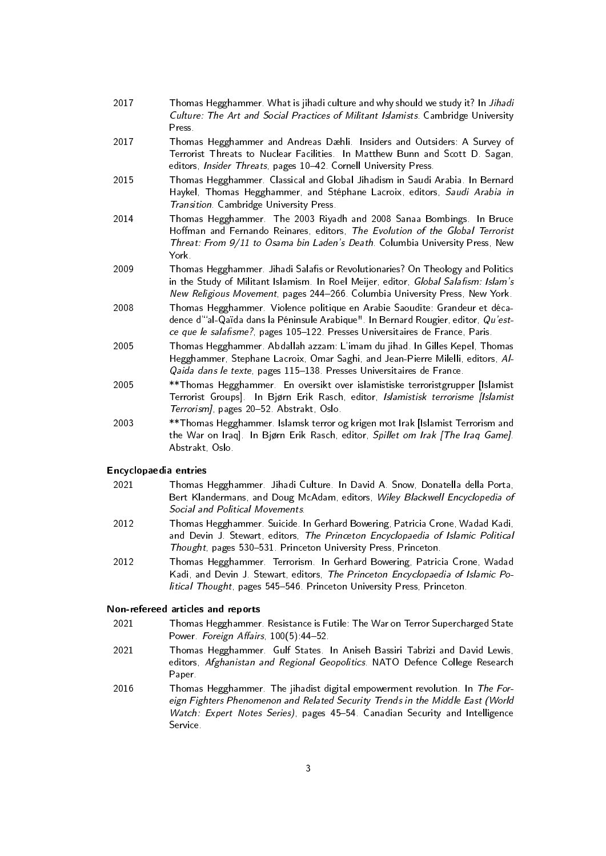- 2017 Thomas Hegghammer. What is jihadi culture and why should we study it? In Jihadi Culture: The Art and Social Practices of Militant Islamists. Cambridge University Press.
- 2017 Thomas Hegghammer and Andreas Dæhli. Insiders and Outsiders: A Survey of Terrorist Threats to Nuclear Facilities. In Matthew Bunn and Scott D. Sagan, editors, Insider Threats, pages 10-42. Cornell University Press.
- 2015 Thomas Hegghammer. Classical and Global Jihadism in Saudi Arabia. In Bernard Haykel, Thomas Hegghammer, and Stéphane Lacroix, editors, Saudi Arabia in Transition. Cambridge University Press.
- 2014 Thomas Hegghammer. The 2003 Riyadh and 2008 Sanaa Bombings. In Bruce Hoffman and Fernando Reinares, editors, The Evolution of the Global Terrorist Threat: From 9/11 to Osama bin Laden's Death. Columbia University Press, New York.
- 2009 Thomas Hegghammer. Jihadi Salafis or Revolutionaries? On Theology and Politics in the Study of Militant Islamism. In Roel Meijer, editor, Global Salafism: Islam's New Religious Movement, pages 244-266. Columbia University Press, New York.
- 2008 Thomas Hegghammer. Violence politique en Arabie Saoudite: Grandeur et décadence d"al-Qaïda dans la Péninsule Arabique". In Bernard Rougier, editor, Qu'estce que le salafisme?, pages 105-122. Presses Universitaires de France, Paris.
- 2005 Thomas Hegghammer. Abdallah azzam: L'imam du jihad. In Gilles Kepel, Thomas Hegghammer, Stephane Lacroix, Omar Saghi, and Jean-Pierre Milelli, editors, Al-Qaida dans le texte, pages 115-138. Presses Universitaires de France.
- 2005 \*\*Thomas Hegghammer. En oversikt over islamistiske terroristgrupper [Islamist Terrorist Groups]. In Bjørn Erik Rasch, editor, Islamistisk terrorisme [Islamist Terrorism], pages 20-52. Abstrakt, Oslo.
- 2003 \*\*Thomas Hegghammer. Islamsk terror og krigen mot Irak [Islamist Terrorism and the War on Iraq]. In Bjørn Erik Rasch, editor, Spillet om Irak *[The Iraq Game]*. Abstrakt, Oslo.

## Encyclopaedia entries

- 2021 Thomas Hegghammer. Jihadi Culture. In David A. Snow, Donatella della Porta, Bert Klandermans, and Doug McAdam, editors, Wiley Blackwell Encyclopedia of Social and Political Movements.
- 2012 Thomas Hegghammer. Suicide. In Gerhard Bowering, Patricia Crone, Wadad Kadi, and Devin J. Stewart, editors, The Princeton Encyclopaedia of Islamic Political Thought, pages 530-531. Princeton University Press, Princeton.
- 2012 Thomas Hegghammer. Terrorism. In Gerhard Bowering, Patricia Crone, Wadad Kadi, and Devin J. Stewart, editors, The Princeton Encyclopaedia of Islamic Political Thought, pages 545-546. Princeton University Press, Princeton.

### Non-refereed articles and reports

- 2021 Thomas Hegghammer. Resistance is Futile: The War on Terror Supercharged State Power. Foreign Affairs, 100(5):44-52.
- 2021 Thomas Hegghammer. Gulf States. In Aniseh Bassiri Tabrizi and David Lewis, editors, Afghanistan and Regional Geopolitics. NATO Defence College Research Paper.
- 2016 Thomas Hegghammer. The jihadist digital empowerment revolution. In The Foreign Fighters Phenomenon and Related Security Trends in the Middle East (World Watch: Expert Notes Series), pages 45-54. Canadian Security and Intelligence Service.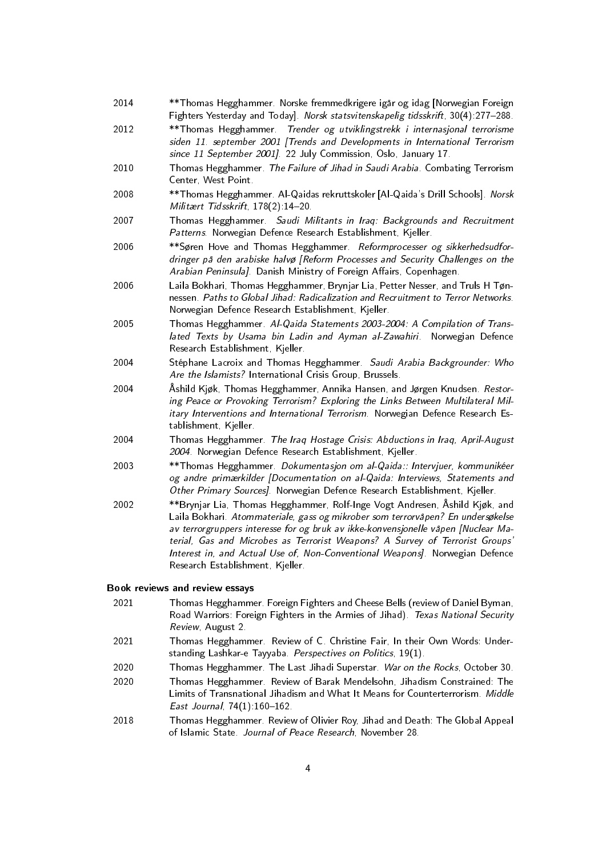- 2014 \*\*Thomas Hegghammer. Norske fremmedkrigere igår og idag [Norwegian Foreign Fighters Yesterday and Today]. Norsk statsvitenskapelig tidsskrift, 30(4):277-288.
- 2012 \*\*Thomas Hegghammer. Trender og utviklingstrekk i internasjonal terrorisme siden 11. september 2001 [Trends and Developments in International Terrorism since 11 September 2001]. 22 July Commission, Oslo, January 17.
- 2010 Thomas Hegghammer. The Failure of Jihad in Saudi Arabia. Combating Terrorism Center, West Point.
- 2008 \*\*Thomas Hegghammer. Al-Qaidas rekruttskoler [Al-Qaida's Drill Schools]. Norsk Militært Tidsskrift, 178(2):14-20.
- 2007 Thomas Hegghammer. Saudi Militants in Iraq: Backgrounds and Recruitment Patterns. Norwegian Defence Research Establishment, Kjeller.
- 2006 \*\*Søren Hove and Thomas Hegghammer. Reformprocesser og sikkerhedsudfordringer på den arabiske halvø [Reform Processes and Security Challenges on the Arabian Peninsula]. Danish Ministry of Foreign Affairs, Copenhagen.
- 2006 Laila Bokhari, Thomas Hegghammer, Brynjar Lia, Petter Nesser, and Truls H Tønnessen. Paths to Global Jihad: Radicalization and Recruitment to Terror Networks. Norwegian Defence Research Establishment, Kjeller.
- 2005 Thomas Hegghammer. Al-Qaida Statements 2003-2004: A Compilation of Translated Texts by Usama bin Ladin and Ayman al-Zawahiri. Norwegian Defence Research Establishment, Kjeller.
- 2004 Stéphane Lacroix and Thomas Hegghammer. Saudi Arabia Backgrounder: Who Are the Islamists? International Crisis Group, Brussels.
- 2004 Åshild Kjøk, Thomas Hegghammer, Annika Hansen, and Jørgen Knudsen. Restoring Peace or Provoking Terrorism? Exploring the Links Between Multilateral Military Interventions and International Terrorism. Norwegian Defence Research Establishment, Kjeller.
- 2004 Thomas Hegghammer. The Iraq Hostage Crisis: Abductions in Iraq, April-August 2004. Norwegian Defence Research Establishment, Kjeller.
- 2003 \*\* Thomas Hegghammer. Dokumentasjon om al-Qaida:: Intervjuer, kommunikéer og andre primærkilder [Documentation on al-Qaida: Interviews, Statements and Other Primary Sources]. Norwegian Defence Research Establishment, Kjeller.
- 2002 \*\*Brynjar Lia, Thomas Hegghammer, Rolf-Inge Vogt Andresen, Åshild Kjøk, and Laila Bokhari. Atommateriale, gass og mikrober som terrorvåpen? En undersøkelse av terrorgruppers interesse for og bruk av ikke-konvensjonelle våpen [Nuclear Material, Gas and Microbes as Terrorist Weapons? A Survey of Terrorist Groups' Interest in, and Actual Use of, Non-Conventional Weapons]. Norwegian Defence Research Establishment, Kjeller.

#### Book reviews and review essays

- 2021 Thomas Hegghammer. Foreign Fighters and Cheese Bells (review of Daniel Byman, Road Warriors: Foreign Fighters in the Armies of Jihad). Texas National Security Review, August 2.
- 2021 Thomas Hegghammer. Review of C. Christine Fair, In their Own Words: Understanding Lashkar-e Tayyaba. Perspectives on Politics, 19(1).
- 2020 Thomas Hegghammer. The Last Jihadi Superstar. War on the Rocks, October 30.
- 2020 Thomas Hegghammer. Review of Barak Mendelsohn, Jihadism Constrained: The Limits of Transnational Jihadism and What It Means for Counterterrorism. Middle East Journal,  $74(1)$ :160-162.
- 2018 Thomas Hegghammer. Review of Olivier Roy, Jihad and Death: The Global Appeal of Islamic State. Journal of Peace Research, November 28.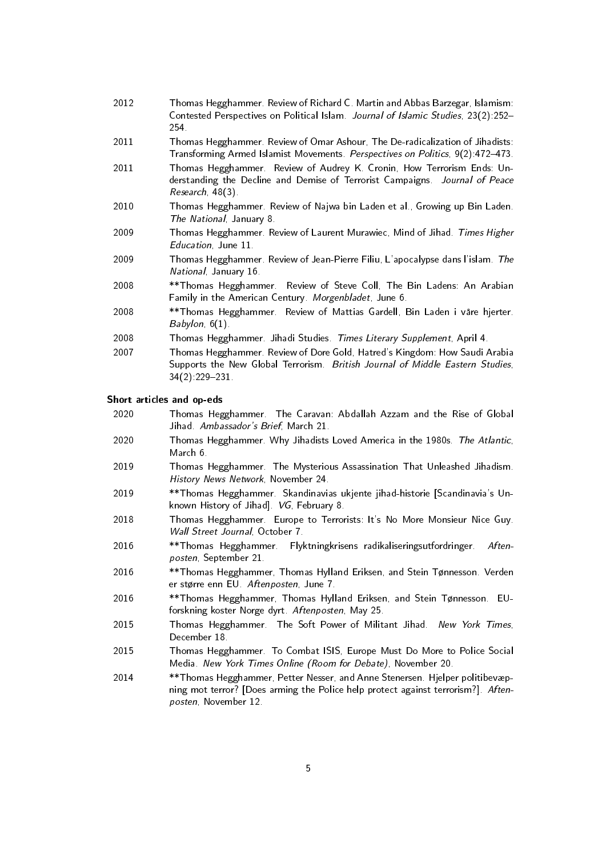- 2012 Thomas Hegghammer. Review of Richard C. Martin and Abbas Barzegar, Islamism: Contested Perspectives on Political Islam. Journal of Islamic Studies, 23(2):252 254.
- 2011 Thomas Hegghammer. Review of Omar Ashour, The De-radicalization of Jihadists: Transforming Armed Islamist Movements. Perspectives on Politics, 9(2):472-473.
- 2011 Thomas Hegghammer. Review of Audrey K. Cronin, How Terrorism Ends: Understanding the Decline and Demise of Terrorist Campaigns. Journal of Peace Research, 48(3).
- 2010 Thomas Hegghammer. Review of Najwa bin Laden et al., Growing up Bin Laden. The National, January 8.
- 2009 Thomas Hegghammer. Review of Laurent Murawiec, Mind of Jihad. Times Higher Education, June 11.
- 2009 Thomas Hegghammer. Review of Jean-Pierre Filiu, L'apocalypse dans l'islam. The National, January 16.
- 2008 \*\*Thomas Hegghammer. Review of Steve Coll, The Bin Ladens: An Arabian Family in the American Century. Morgenbladet, June 6.
- 2008 \*\*Thomas Hegghammer. Review of Mattias Gardell, Bin Laden i våre hjerter. Babylon, 6(1).
- 2008 Thomas Hegghammer. Jihadi Studies. Times Literary Supplement, April 4.
- 2007 Thomas Hegghammer. Review of Dore Gold, Hatred's Kingdom: How Saudi Arabia Supports the New Global Terrorism. British Journal of Middle Eastern Studies, 34(2):229-231.

### Short articles and op-eds

- 2020 Thomas Hegghammer. The Caravan: Abdallah Azzam and the Rise of Global Jihad. Ambassador's Brief, March 21.
- 2020 Thomas Hegghammer. Why Jihadists Loved America in the 1980s. The Atlantic, March 6.
- 2019 Thomas Hegghammer. The Mysterious Assassination That Unleashed Jihadism. History News Network, November 24.
- 2019 \*\*Thomas Hegghammer. Skandinavias ukjente jihad-historie [Scandinavia's Unknown History of Jihad]. VG, February 8.
- 2018 Thomas Hegghammer. Europe to Terrorists: It's No More Monsieur Nice Guy. Wall Street Journal, October 7.
- 2016 \*\* Thomas Hegghammer. Flyktningkrisens radikaliseringsutfordringer. Aftenposten, September 21.
- 2016 \*\*Thomas Hegghammer, Thomas Hylland Eriksen, and Stein Tønnesson. Verden er større enn EU. Aftenposten, June 7.
- 2016 \*\*Thomas Hegghammer, Thomas Hylland Eriksen, and Stein Tønnesson. EUforskning koster Norge dyrt. Aftenposten, May 25.
- 2015 Thomas Hegghammer. The Soft Power of Militant Jihad. New York Times, December 18.
- 2015 Thomas Hegghammer. To Combat ISIS, Europe Must Do More to Police Social Media. New York Times Online (Room for Debate), November 20.
- 2014 \*\*Thomas Hegghammer, Petter Nesser, and Anne Stenersen. Hjelper politibevæpning mot terror? [Does arming the Police help protect against terrorism?]. Aftenposten, November 12.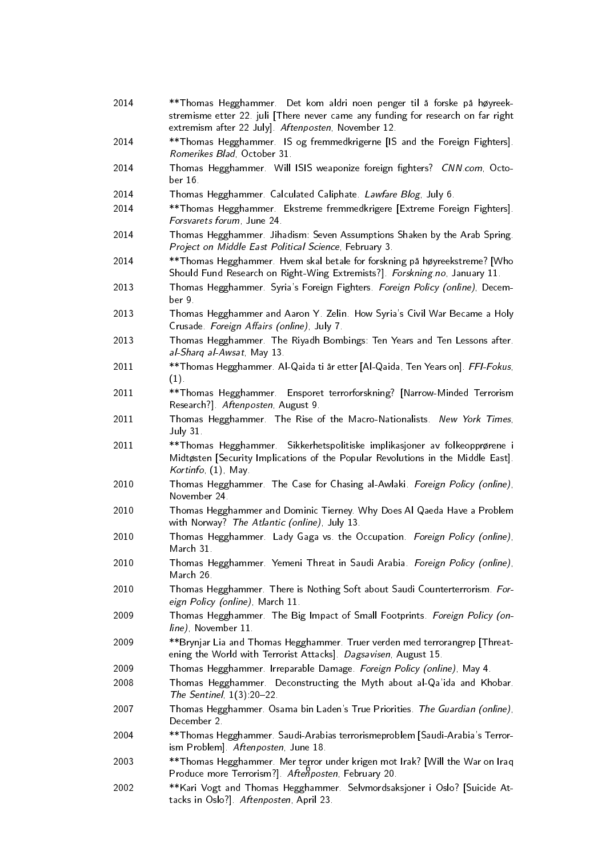- 2014 \*\*Thomas Hegghammer. Det kom aldri noen penger til å forske på høyreekstremisme etter 22. juli [There never came any funding for research on far right extremism after 22 July]. Aftenposten, November 12.
- 2014 \*\*Thomas Hegghammer. IS og fremmedkrigerne [IS and the Foreign Fighters]. Romerikes Blad, October 31.
- 2014 Thomas Hegghammer. Will ISIS weaponize foreign fighters? CNN.com, October 16.
- 2014 Thomas Hegghammer. Calculated Caliphate. Lawfare Blog, July 6.
- 2014 \*\*Thomas Hegghammer. Ekstreme fremmedkrigere [Extreme Foreign Fighters]. Forsvarets forum, June 24.
- 2014 Thomas Hegghammer. Jihadism: Seven Assumptions Shaken by the Arab Spring. Project on Middle East Political Science, February 3.
- 2014 \*\*Thomas Hegghammer. Hvem skal betale for forskning på høyreekstreme? [Who Should Fund Research on Right-Wing Extremists?]. Forskning.no, January 11.
- 2013 Thomas Hegghammer. Syria's Foreign Fighters. Foreign Policy (online), December 9.
- 2013 Thomas Hegghammer and Aaron Y. Zelin. How Syria's Civil War Became a Holy Crusade. Foreign Affairs (online), July 7.
- 2013 Thomas Hegghammer. The Riyadh Bombings: Ten Years and Ten Lessons after. al-Sharq al-Awsat, May 13.
- 2011 \*\*Thomas Hegghammer. Al-Qaida ti år etter [Al-Qaida, Ten Years on]. FFI-Fokus, (1).
- 2011 \*\*Thomas Hegghammer. Ensporet terrorforskning? [Narrow-Minded Terrorism Research?]. Aftenposten, August 9.
- 2011 Thomas Hegghammer. The Rise of the Macro-Nationalists. New York Times, July 31.
- 2011 \*\*Thomas Hegghammer. Sikkerhetspolitiske implikasjoner av folkeopprørene i Midtøsten [Security Implications of the Popular Revolutions in the Middle East]. Kortinfo, (1), May.
- 2010 Thomas Hegghammer. The Case for Chasing al-Awlaki. Foreign Policy (online), November 24.
- 2010 Thomas Hegghammer and Dominic Tierney. Why Does Al Qaeda Have a Problem with Norway? The Atlantic (online), July 13.
- 2010 Thomas Hegghammer. Lady Gaga vs. the Occupation. Foreign Policy (online), March 31.
- 2010 Thomas Hegghammer. Yemeni Threat in Saudi Arabia. Foreign Policy (online), March 26.
- 2010 Thomas Hegghammer. There is Nothing Soft about Saudi Counterterrorism. Foreign Policy (online), March 11.
- 2009 Thomas Hegghammer. The Big Impact of Small Footprints. Foreign Policy (online), November 11.
- 2009 \*\*Brynjar Lia and Thomas Hegghammer. Truer verden med terrorangrep [Threatening the World with Terrorist Attacks]. Dagsavisen, August 15.
- 2009 Thomas Hegghammer. Irreparable Damage. Foreign Policy (online), May 4.
- 2008 Thomas Hegghammer. Deconstructing the Myth about al-Qa'ida and Khobar. The Sentinel,  $1(3)$ : 20-22.
- 2007 Thomas Hegghammer. Osama bin Laden's True Priorities. The Guardian (online), December 2.
- 2004 \*\*Thomas Hegghammer. Saudi-Arabias terrorismeproblem [Saudi-Arabia's Terrorism Problem]. Aftenposten, June 18.
- 2003 \*\*Thomas Hegghammer. Mer terror under krigen mot Irak? [Will the War on Iraq Produce more Terrorism?]. Aftenposten, February 20.
- 2002 \*\*Kari Vogt and Thomas Hegghammer. Selvmordsaksjoner i Oslo? [Suicide Attacks in Oslo?]. Aftenposten, April 23.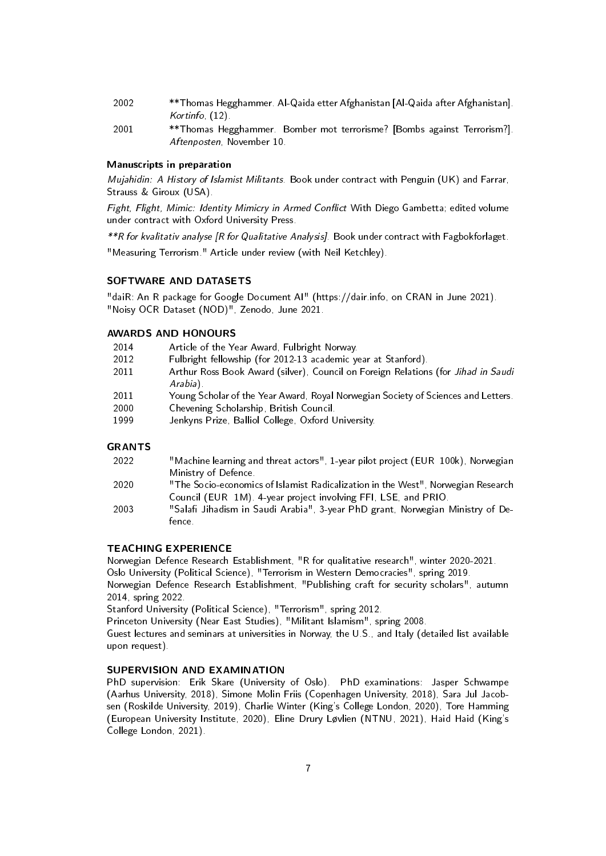- 2002 \*\*Thomas Hegghammer. Al-Qaida etter Afghanistan [Al-Qaida after Afghanistan]. Kortinfo, (12).
- 2001 \*\*Thomas Hegghammer. Bomber mot terrorisme? [Bombs against Terrorism?]. Aftenposten, November 10.

### Manuscripts in preparation

Mujahidin: A History of Islamist Militants. Book under contract with Penguin (UK) and Farrar, Strauss & Giroux (USA).

Fight, Flight, Mimic: Identity Mimicry in Armed Conflict With Diego Gambetta; edited volume under contract with Oxford University Press.

\*\*R for kvalitativ analyse [R for Qualitative Analysis]. Book under contract with Fagbokforlaget.

"Measuring Terrorism." Article under review (with Neil Ketchley).

## SOFTWARE AND DATASETS

"daiR: An R package for Google Document AI" (https://dair.info, on CRAN in June 2021). "Noisy OCR Dataset (NOD)", Zenodo, June 2021.

### AWARDS AND HONOURS

- 2014 Article of the Year Award, Fulbright Norway.
- 2012 Fulbright fellowship (for 2012-13 academic year at Stanford).
- 2011 Arthur Ross Book Award (silver), Council on Foreign Relations (for Jihad in Saudi Arabia).
- 2011 Young Scholar of the Year Award, Royal Norwegian Society of Sciences and Letters.
- 2000 Chevening Scholarship, British Council.
- 1999 Jenkyns Prize, Balliol College, Oxford University.

### GRANTS

- 2022 "Machine learning and threat actors", 1-year pilot project (EUR 100k), Norwegian Ministry of Defence.
- 2020 "The Socio-economics of Islamist Radicalization in the West", Norwegian Research Council (EUR 1M). 4-year project involving FFI, LSE, and PRIO.
- 2003 "Salafi Jihadism in Saudi Arabia", 3-year PhD grant, Norwegian Ministry of Defence.

### TEACHING EXPERIENCE

Norwegian Defence Research Establishment, "R for qualitative research", winter 2020-2021.

Oslo University (Political Science), "Terrorism in Western Democracies", spring 2019.

Norwegian Defence Research Establishment, "Publishing craft for security scholars", autumn 2014, spring 2022.

Stanford University (Political Science), "Terrorism", spring 2012.

Princeton University (Near East Studies), "Militant Islamism", spring 2008.

Guest lectures and seminars at universities in Norway, the U.S., and Italy (detailed list available upon request).

### SUPERVISION AND EXAMINATION

PhD supervision: Erik Skare (University of Oslo). PhD examinations: Jasper Schwampe (Aarhus University, 2018), Simone Molin Friis (Copenhagen University, 2018), Sara Jul Jacobsen (Roskilde University, 2019), Charlie Winter (King's College London, 2020), Tore Hamming (European University Institute, 2020), Eline Drury Løvlien (NTNU, 2021), Haid Haid (King's College London, 2021).